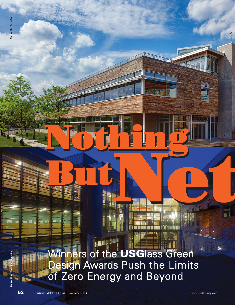Winners of the USGlass Green Design Awards Push the Limits of Zero Energy and Beyond Net But and the USG ass Green<br>Design Awards Push the Limits

**Nothing The Time** 

**Nothing The Second Second Second Second Second Second Second Second Second Second Second Second Second Second** 

Photo: Matt Todd Photography

Photo: Jim Schafer

Jim Schafe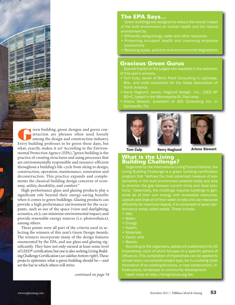

France building, green designs and green construction are phrases often used loosely among the design and construction industry.<br>Every building professes to be green these days, but what, exactly, makes it so? According to struction are phrases often used loosely among the design and construction industry. Every building professes to be green these days, but what, exactly, makes it so? According to the Environmental Protection Agency (EPA), "green building is the practice of creating structures and using processes that are environmentally responsible and resource-efficient throughout a building's life-cycle from siting to design, construction, operation, maintenance, renovation and deconstruction. This practice expands and complements the classical building design concerns of economy, utility, durability, and comfort."

High-performance glass and glazing products play a significant role beyond their energy-saving benefits when it comes to green buildings. Glazing products can provide a high performance environment for the occupants, such as use of the space (view and daylighting, acoustics, etc); can minimize environmental impact; and provide renewable energy sources (i.e. photovoltaics), among others.

These points were all part of the criteria used in selecting the winners of this year's Green Design Awards. The winners incorporate many of the design features enumerated by the EPA, and use glass and glazing significantly. They have not only earned at least some level of LEED® certification, but one is also seeking Living Building Challenge Certification (*see sidebar, bottom right*). These projects epitomize what a green building should be—and set the bar to which others will strive.

*continued on page 54*

## The EPA Says…

Green buildings are designed to reduce the overall impact of the built environment on human health and the natural environment by:

- Efficiently using energy, water and other resources
- Protecting occupant health and improving employee productivity
- Reducing waste, pollution and environmental degradation

## Gracious Green Gurus

Special thanks to the judges who assisted in the selection of this year's winners.

- Tom Culp, owner of Birch Point Consulting in LaCrosse, Wis., and code consultant for the Glass Association of North America.
- Kerry Haglund, owner, Haglund Design Inc., LEED AP BD+C, based in the Minneapolis-St. Paul area.
- Arlene Stewart, president of AZS Consulting Inc. in Gainesville, Fla.







Tom Culp berry Haglund Arlene Stewart

## What is the Living

Building Challenge? Organized by the International Living Future Institute, the Living Building Challenge is a green building certification program that "defines the most advanced measure of sustainability in the built environment possible today and acts to diminish the gap between current limits and ideal solutions." Essentially, the challenge requires buildings to generate all of their own energy with renewable resources, capture and treat all of their water on-site and use resources efficiently for maximum beauty. It is comprised of seven per-

- Site;
- Water;
- Energy;
- Health;
- Materials;
- Equity; and
- Beauty.

According to the organizers, petals are subdivided into 20 Imperatives, each of which focuses on a specific sphere of influence. This compilation of Imperatives can be applied to almost every conceivable project type, be it a building (both renovation of an existing structure, or new construction), infrastructure, landscape or community development.

Learn more at http://living-future.org/lbc.